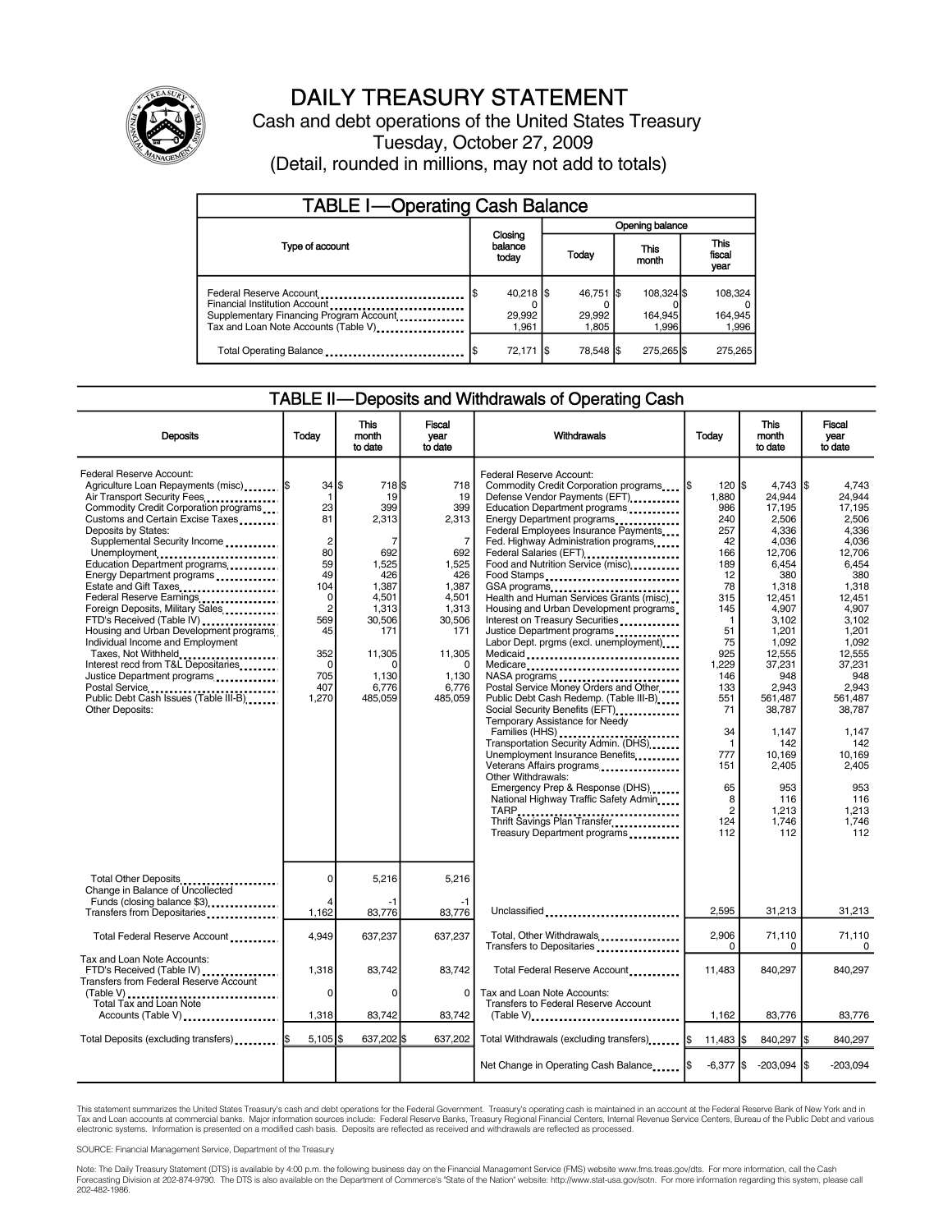

# DAILY TREASURY STATEMENT

Cash and debt operations of the United States Treasury Tuesday, October 27, 2009 (Detail, rounded in millions, may not add to totals)

| <b>TABLE I-Operating Cash Balance</b>                                                                                                       |                                      |                              |                                |                               |  |  |  |  |
|---------------------------------------------------------------------------------------------------------------------------------------------|--------------------------------------|------------------------------|--------------------------------|-------------------------------|--|--|--|--|
|                                                                                                                                             |                                      | Opening balance              |                                |                               |  |  |  |  |
| Type of account                                                                                                                             | Closing<br>balance<br>Today<br>today |                              | This<br>month                  | <b>This</b><br>fiscal<br>year |  |  |  |  |
| Federal Reserve Account<br>Financial Institution Account<br>Supplementary Financing Program Account<br>Tax and Loan Note Accounts (Table V) | $40,218$ \$<br>29,992<br>1.961       | 46,751 \$<br>29.992<br>1.805 | 108.324 \$<br>164.945<br>1.996 | 108,324<br>164,945<br>1,996   |  |  |  |  |
| Total Operating Balance                                                                                                                     | 72,171                               | 78,548 \$<br>- 1\$           | 275,265 \$                     | 275,265                       |  |  |  |  |

#### TABLE II—Deposits and Withdrawals of Operating Cash

| <b>Deposits</b>                                                                                                                                                                                                                                                                                                                                                                                                                                                                                                                                                                                                                                                                                            | Today                                                                                                                                                                            | <b>This</b><br>month<br>to date                                                                                                                         | <b>Fiscal</b><br>vear<br>to date                                                                                                                                  | Withdrawals                                                                                                                                                                                                                                                                                                                                                                                                                                                                                                                                                                                                                                                                                                                                                                                                                                                                                                                                                                                               | Today                                                                                                                                                                                                                                         | <b>This</b><br>month<br>to date                                                                                                                                                                                                                                                       | Fiscal<br>year<br>to date                                                                                                                                                                                                                                                |
|------------------------------------------------------------------------------------------------------------------------------------------------------------------------------------------------------------------------------------------------------------------------------------------------------------------------------------------------------------------------------------------------------------------------------------------------------------------------------------------------------------------------------------------------------------------------------------------------------------------------------------------------------------------------------------------------------------|----------------------------------------------------------------------------------------------------------------------------------------------------------------------------------|---------------------------------------------------------------------------------------------------------------------------------------------------------|-------------------------------------------------------------------------------------------------------------------------------------------------------------------|-----------------------------------------------------------------------------------------------------------------------------------------------------------------------------------------------------------------------------------------------------------------------------------------------------------------------------------------------------------------------------------------------------------------------------------------------------------------------------------------------------------------------------------------------------------------------------------------------------------------------------------------------------------------------------------------------------------------------------------------------------------------------------------------------------------------------------------------------------------------------------------------------------------------------------------------------------------------------------------------------------------|-----------------------------------------------------------------------------------------------------------------------------------------------------------------------------------------------------------------------------------------------|---------------------------------------------------------------------------------------------------------------------------------------------------------------------------------------------------------------------------------------------------------------------------------------|--------------------------------------------------------------------------------------------------------------------------------------------------------------------------------------------------------------------------------------------------------------------------|
| Federal Reserve Account:<br>Agriculture Loan Repayments (misc)  \$<br>Air Transport Security Fees<br>Commodity Credit Corporation programs<br>Customs and Certain Excise Taxes<br>Deposits by States:<br>Supplemental Security Income<br>Unemployment<br>Education Department programs<br>Energy Department programs<br>Estate and Gift Taxes<br>Federal Reserve Earnings<br>Foreign Deposits, Military Sales<br>FTD's Received (Table IV)<br>Housing and Urban Development programs<br>Individual Income and Employment<br>Taxes, Not Withheld<br>Interest recd from T&L Depositaries<br>Justice Department programs<br>Postal Service<br>Public Debt Cash Issues (Table III-B)<br><b>Other Deposits:</b> | $34$ $\frac{1}{3}$<br>$\mathbf 1$<br>23<br>81<br>$\overline{c}$<br>80<br>59<br>49<br>104<br>$\mathbf 0$<br>$\overline{2}$<br>569<br>45<br>352<br>$\Omega$<br>705<br>407<br>1,270 | 718 \$<br>19<br>399<br>2,313<br>7<br>692<br>1,525<br>426<br>1,387<br>4,501<br>1,313<br>30,506<br>171<br>11,305<br>$\Omega$<br>1.130<br>6,776<br>485,059 | 718<br>19<br>399<br>2,313<br>$\overline{7}$<br>692<br>1,525<br>426<br>1.387<br>4,501<br>1.313<br>30,506<br>171<br>11,305<br>$\Omega$<br>1.130<br>6,776<br>485,059 | Federal Reserve Account:<br>Commodity Credit Corporation programs<br>Defense Vendor Payments (EFT)<br>Education Department programs<br>Energy Department programs<br>Federal Employees Insurance Payments<br>Fed. Highway Administration programs<br>Federal Salaries (EFT)<br>Food and Nutrition Service (misc)<br>Food Stamps<br>GSA programs<br>Health and Human Services Grants (misc)<br>Housing and Urban Development programs<br>Interest on Treasury Securities<br>Justice Department programs<br>Labor Dept. prgms (excl. unemployment)<br>Medicaid<br>Medicare<br>Postal Service Money Orders and Other<br>Public Debt Cash Redemp. (Table III-B)<br>Social Security Benefits (EFT)<br>Temporary Assistance for Needy<br>Transportation Security Admin. (DHS)<br>Unemployment Insurance Benefits<br>Veterans Affairs programs<br>Other Withdrawals:<br>Emergency Prep & Response (DHS)<br>National Highway Traffic Safety Admin<br>Thrift Savings Plan Transfer<br>Treasury Department programs | $120$ $s$<br>1.880<br>986<br>240<br>257<br>42<br>166<br>189<br>12<br>78<br>315<br>145<br>$\mathbf{1}$<br>51<br>75<br>925<br>1,229<br>146<br>133<br>551<br>71<br>34<br>$\overline{1}$<br>777<br>151<br>65<br>8<br>$\overline{2}$<br>124<br>112 | $4,743$ $\sqrt{5}$<br>24.944<br>17.195<br>2,506<br>4,336<br>4,036<br>12,706<br>6,454<br>380<br>1,318<br>12.451<br>4,907<br>3,102<br>1,201<br>1,092<br>12,555<br>37,231<br>948<br>2,943<br>561.487<br>38,787<br>1,147<br>142<br>10,169<br>2,405<br>953<br>116<br>1.213<br>1,746<br>112 | 4.743<br>24.944<br>17.195<br>2.506<br>4,336<br>4,036<br>12.706<br>6.454<br>380<br>1,318<br>12.451<br>4.907<br>3,102<br>1,201<br>1,092<br>12,555<br>37,231<br>948<br>2.943<br>561.487<br>38.787<br>1,147<br>142<br>10.169<br>2,405<br>953<br>116<br>1.213<br>1,746<br>112 |
| Total Other Deposits<br>Change in Balance of Uncollected                                                                                                                                                                                                                                                                                                                                                                                                                                                                                                                                                                                                                                                   | $\Omega$                                                                                                                                                                         | 5,216                                                                                                                                                   | 5,216                                                                                                                                                             |                                                                                                                                                                                                                                                                                                                                                                                                                                                                                                                                                                                                                                                                                                                                                                                                                                                                                                                                                                                                           |                                                                                                                                                                                                                                               |                                                                                                                                                                                                                                                                                       |                                                                                                                                                                                                                                                                          |
| Funds (closing balance \$3)<br>Transfers from Depositaries                                                                                                                                                                                                                                                                                                                                                                                                                                                                                                                                                                                                                                                 | 4<br>1,162                                                                                                                                                                       | -1<br>83,776                                                                                                                                            | -1<br>83,776                                                                                                                                                      | Unclassified                                                                                                                                                                                                                                                                                                                                                                                                                                                                                                                                                                                                                                                                                                                                                                                                                                                                                                                                                                                              | 2.595                                                                                                                                                                                                                                         | 31.213                                                                                                                                                                                                                                                                                | 31,213                                                                                                                                                                                                                                                                   |
| Total Federal Reserve Account                                                                                                                                                                                                                                                                                                                                                                                                                                                                                                                                                                                                                                                                              | 4,949                                                                                                                                                                            | 637,237                                                                                                                                                 | 637.237                                                                                                                                                           | Total, Other Withdrawals<br>Transfers to Depositaries                                                                                                                                                                                                                                                                                                                                                                                                                                                                                                                                                                                                                                                                                                                                                                                                                                                                                                                                                     | 2,906<br>0                                                                                                                                                                                                                                    | 71,110<br>0                                                                                                                                                                                                                                                                           | 71,110<br>$\mathbf 0$                                                                                                                                                                                                                                                    |
| Tax and Loan Note Accounts:<br>FTD's Received (Table IV)<br><b>Transfers from Federal Reserve Account</b><br>$(Table V)$                                                                                                                                                                                                                                                                                                                                                                                                                                                                                                                                                                                   | 1,318<br>0                                                                                                                                                                       | 83,742<br>0                                                                                                                                             | 83,742<br>0                                                                                                                                                       | Total Federal Reserve Account<br>Tax and Loan Note Accounts:                                                                                                                                                                                                                                                                                                                                                                                                                                                                                                                                                                                                                                                                                                                                                                                                                                                                                                                                              | 11,483                                                                                                                                                                                                                                        | 840,297                                                                                                                                                                                                                                                                               | 840,297                                                                                                                                                                                                                                                                  |
| Total Tax and Loan Note<br>Accounts (Table V)                                                                                                                                                                                                                                                                                                                                                                                                                                                                                                                                                                                                                                                              | 1,318                                                                                                                                                                            | 83,742                                                                                                                                                  | 83,742                                                                                                                                                            | Transfers to Federal Reserve Account<br>$(Table V)$                                                                                                                                                                                                                                                                                                                                                                                                                                                                                                                                                                                                                                                                                                                                                                                                                                                                                                                                                       | 1,162                                                                                                                                                                                                                                         | 83,776                                                                                                                                                                                                                                                                                | 83,776                                                                                                                                                                                                                                                                   |
| Total Deposits (excluding transfers)  \$                                                                                                                                                                                                                                                                                                                                                                                                                                                                                                                                                                                                                                                                   | $5.105$ S                                                                                                                                                                        | 637,202 \$                                                                                                                                              | 637.202                                                                                                                                                           | Total Withdrawals (excluding transfers)                                                                                                                                                                                                                                                                                                                                                                                                                                                                                                                                                                                                                                                                                                                                                                                                                                                                                                                                                                   | 11,483 \$                                                                                                                                                                                                                                     | 840,297 \$                                                                                                                                                                                                                                                                            | 840,297                                                                                                                                                                                                                                                                  |
|                                                                                                                                                                                                                                                                                                                                                                                                                                                                                                                                                                                                                                                                                                            |                                                                                                                                                                                  |                                                                                                                                                         |                                                                                                                                                                   | Net Change in Operating Cash Balance                                                                                                                                                                                                                                                                                                                                                                                                                                                                                                                                                                                                                                                                                                                                                                                                                                                                                                                                                                      | $-6,377$ \$                                                                                                                                                                                                                                   | $-203,094$ \$                                                                                                                                                                                                                                                                         | $-203.094$                                                                                                                                                                                                                                                               |

This statement summarizes the United States Treasury's cash and debt operations for the Federal Government. Treasury's operating cash is maintained in an account at the Federal Reserve Bank of New York and in Tax and Loan accounts at commercial banks. Major information sources include: Federal Reserve Banks, Treasury Regional Financial Centers, Internal Revenue Service Centers, Bureau of the Public Debt and various<br>electronic s

SOURCE: Financial Management Service, Department of the Treasury

Note: The Daily Treasury Statement (DTS) is available by 4:00 p.m. the following business day on the Financial Management Service (FMS) website www.fms.treas.gov/dts. For more information, call the Cash<br>Forecasting Divisio 202-482-1986.